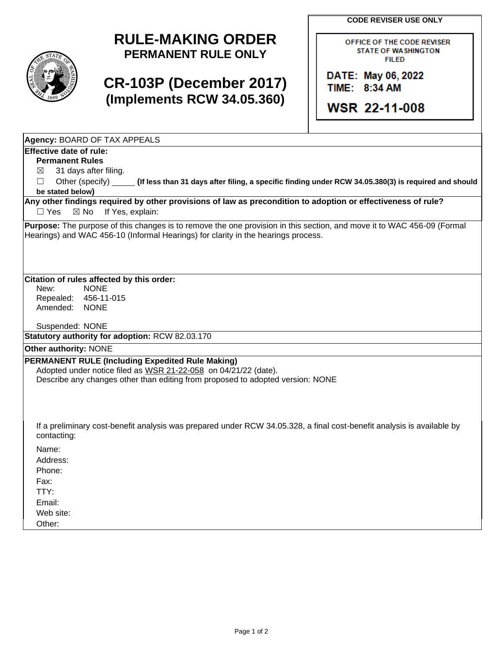**CODE REVISER USE ONLY**

## **RULE-MAKING ORDER PERMANENT RULE ONLY**

# **CR-103P (December 2017) (Implements RCW 34.05.360)**

OFFICE OF THE CODE REVISER **STATE OF WASHINGTON FILED** 

DATE: May 06, 2022 TIME: 8:34 AM

**WSR 22-11-008** 

**Agency:** BOARD OF TAX APPEALS

## **Effective date of rule:**

**Permanent Rules**

 $\boxtimes$  31 days after filing.

☐ Other (specify) **(If less than 31 days after filing, a specific finding under RCW 34.05.380(3) is required and should be stated below)**

**Any other findings required by other provisions of law as precondition to adoption or effectiveness of rule?** □ Yes ⊠ No If Yes, explain:

**Purpose:** The purpose of this changes is to remove the one provision in this section, and move it to WAC 456-09 (Formal Hearings) and WAC 456-10 (Informal Hearings) for clarity in the hearings process.

#### **Citation of rules affected by this order:**

New: NONE Repealed: 456-11-015 Amended: NONE

Suspended: NONE

**Statutory authority for adoption:** RCW 82.03.170

## **Other authority:** NONE

### **PERMANENT RULE (Including Expedited Rule Making)**

Adopted under notice filed as WSR 21-22-058 on 04/21/22 (date). Describe any changes other than editing from proposed to adopted version: NONE

If a preliminary cost-benefit analysis was prepared under RCW 34.05.328, a final cost-benefit analysis is available by contacting:

Name:

Address:

Phone:

Fax:

TTY:

Email:

Web site:

Other: